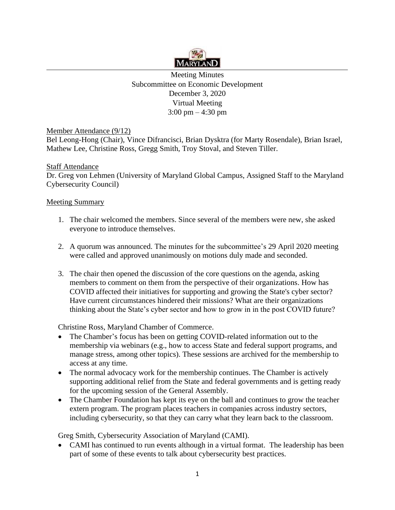

Meeting Minutes Subcommittee on Economic Development December 3, 2020 Virtual Meeting 3:00 pm – 4:30 pm

Member Attendance (9/12)

Bel Leong-Hong (Chair), Vince Difrancisci, Brian Dysktra (for Marty Rosendale), Brian Israel, Mathew Lee, Christine Ross, Gregg Smith, Troy Stoval, and Steven Tiller.

## **Staff Attendance**

Dr. Greg von Lehmen (University of Maryland Global Campus, Assigned Staff to the Maryland Cybersecurity Council)

## Meeting Summary

- 1. The chair welcomed the members. Since several of the members were new, she asked everyone to introduce themselves.
- 2. A quorum was announced. The minutes for the subcommittee's 29 April 2020 meeting were called and approved unanimously on motions duly made and seconded.
- 3. The chair then opened the discussion of the core questions on the agenda, asking members to comment on them from the perspective of their organizations. How has COVID affected their initiatives for supporting and growing the State's cyber sector? Have current circumstances hindered their missions? What are their organizations thinking about the State's cyber sector and how to grow in in the post COVID future?

Christine Ross, Maryland Chamber of Commerce.

- The Chamber's focus has been on getting COVID-related information out to the membership via webinars (e.g., how to access State and federal support programs, and manage stress, among other topics). These sessions are archived for the membership to access at any time.
- The normal advocacy work for the membership continues. The Chamber is actively supporting additional relief from the State and federal governments and is getting ready for the upcoming session of the General Assembly.
- The Chamber Foundation has kept its eye on the ball and continues to grow the teacher extern program. The program places teachers in companies across industry sectors, including cybersecurity, so that they can carry what they learn back to the classroom.

Greg Smith, Cybersecurity Association of Maryland (CAMI).

• CAMI has continued to run events although in a virtual format. The leadership has been part of some of these events to talk about cybersecurity best practices.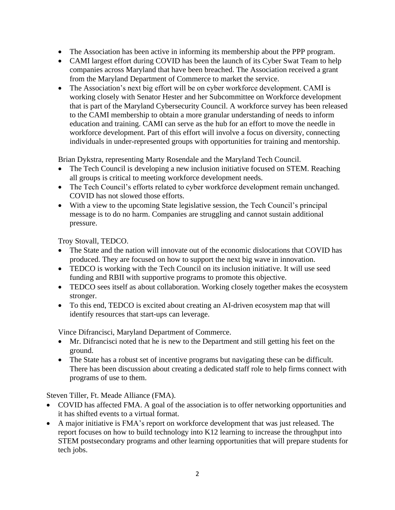- The Association has been active in informing its membership about the PPP program.
- CAMI largest effort during COVID has been the launch of its Cyber Swat Team to help companies across Maryland that have been breached. The Association received a grant from the Maryland Department of Commerce to market the service.
- The Association's next big effort will be on cyber workforce development. CAMI is working closely with Senator Hester and her Subcommittee on Workforce development that is part of the Maryland Cybersecurity Council. A workforce survey has been released to the CAMI membership to obtain a more granular understanding of needs to inform education and training. CAMI can serve as the hub for an effort to move the needle in workforce development. Part of this effort will involve a focus on diversity, connecting individuals in under-represented groups with opportunities for training and mentorship.

Brian Dykstra, representing Marty Rosendale and the Maryland Tech Council.

- The Tech Council is developing a new inclusion initiative focused on STEM. Reaching all groups is critical to meeting workforce development needs.
- The Tech Council's efforts related to cyber workforce development remain unchanged. COVID has not slowed those efforts.
- With a view to the upcoming State legislative session, the Tech Council's principal message is to do no harm. Companies are struggling and cannot sustain additional pressure.

Troy Stovall, TEDCO.

- The State and the nation will innovate out of the economic dislocations that COVID has produced. They are focused on how to support the next big wave in innovation.
- TEDCO is working with the Tech Council on its inclusion initiative. It will use seed funding and RBII with supportive programs to promote this objective.
- TEDCO sees itself as about collaboration. Working closely together makes the ecosystem stronger.
- To this end, TEDCO is excited about creating an AI-driven ecosystem map that will identify resources that start-ups can leverage.

Vince Difrancisci, Maryland Department of Commerce.

- Mr. Difrancisci noted that he is new to the Department and still getting his feet on the ground.
- The State has a robust set of incentive programs but navigating these can be difficult. There has been discussion about creating a dedicated staff role to help firms connect with programs of use to them.

Steven Tiller, Ft. Meade Alliance (FMA).

- COVID has affected FMA. A goal of the association is to offer networking opportunities and it has shifted events to a virtual format.
- A major initiative is FMA's report on workforce development that was just released. The report focuses on how to build technology into K12 learning to increase the throughput into STEM postsecondary programs and other learning opportunities that will prepare students for tech jobs.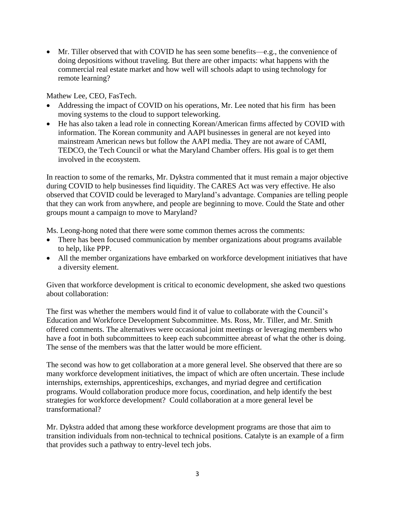• Mr. Tiller observed that with COVID he has seen some benefits—e.g., the convenience of doing depositions without traveling. But there are other impacts: what happens with the commercial real estate market and how well will schools adapt to using technology for remote learning?

Mathew Lee, CEO, FasTech.

- Addressing the impact of COVID on his operations, Mr. Lee noted that his firm has been moving systems to the cloud to support teleworking.
- He has also taken a lead role in connecting Korean/American firms affected by COVID with information. The Korean community and AAPI businesses in general are not keyed into mainstream American news but follow the AAPI media. They are not aware of CAMI, TEDCO, the Tech Council or what the Maryland Chamber offers. His goal is to get them involved in the ecosystem.

In reaction to some of the remarks, Mr. Dykstra commented that it must remain a major objective during COVID to help businesses find liquidity. The CARES Act was very effective. He also observed that COVID could be leveraged to Maryland's advantage. Companies are telling people that they can work from anywhere, and people are beginning to move. Could the State and other groups mount a campaign to move to Maryland?

Ms. Leong-hong noted that there were some common themes across the comments:

- There has been focused communication by member organizations about programs available to help, like PPP.
- All the member organizations have embarked on workforce development initiatives that have a diversity element.

Given that workforce development is critical to economic development, she asked two questions about collaboration:

The first was whether the members would find it of value to collaborate with the Council's Education and Workforce Development Subcommittee. Ms. Ross, Mr. Tiller, and Mr. Smith offered comments. The alternatives were occasional joint meetings or leveraging members who have a foot in both subcommittees to keep each subcommittee abreast of what the other is doing. The sense of the members was that the latter would be more efficient.

The second was how to get collaboration at a more general level. She observed that there are so many workforce development initiatives, the impact of which are often uncertain. These include internships, externships, apprenticeships, exchanges, and myriad degree and certification programs. Would collaboration produce more focus, coordination, and help identify the best strategies for workforce development? Could collaboration at a more general level be transformational?

Mr. Dykstra added that among these workforce development programs are those that aim to transition individuals from non-technical to technical positions. Catalyte is an example of a firm that provides such a pathway to entry-level tech jobs.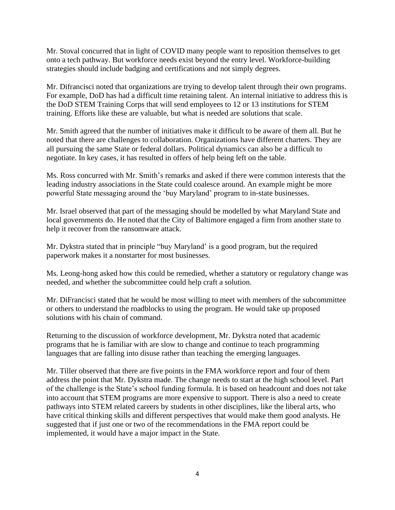Mr. Stoval concurred that in light of COVID many people want to reposition themselves to get onto a tech pathway. But workforce needs exist beyond the entry level. Workforce-building strategies should include badging and certifications and not simply degrees.

Mr. Difrancisci noted that organizations are trying to develop talent through their own programs. For example, DoD has had a difficult time retaining talent. An internal initiative to address this is the DoD STEM Training Corps that will send employees to 12 or 13 institutions for STEM training. Efforts like these are valuable, but what is needed are solutions that scale.

Mr. Smith agreed that the number of initiatives make it difficult to be aware of them all. But he noted that there are challenges to collaboration. Organizations have different charters. They are all pursuing the same State or federal dollars. Political dynamics can also be a difficult to negotiate. In key cases, it has resulted in offers of help being left on the table.

Ms. Ross concurred with Mr. Smith's remarks and asked if there were common interests that the leading industry associations in the State could coalesce around. An example might be more powerful State messaging around the 'buy Maryland' program to in-state businesses.

Mr. Israel observed that part of the messaging should be modelled by what Maryland State and local governments do. He noted that the City of Baltimore engaged a firm from another state to help it recover from the ransomware attack.

Mr. Dykstra stated that in principle "buy Maryland' is a good program, but the required paperwork makes it a nonstarter for most businesses.

Ms. Leong-hong asked how this could be remedied, whether a statutory or regulatory change was needed, and whether the subcommittee could help craft a solution.

Mr. DiFrancisci stated that he would be most willing to meet with members of the subcommittee or others to understand the roadblocks to using the program. He would take up proposed solutions with his chain of command.

Returning to the discussion of workforce development, Mr. Dykstra noted that academic programs that he is familiar with are slow to change and continue to teach programming languages that are falling into disuse rather than teaching the emerging languages.

Mr. Tiller observed that there are five points in the FMA workforce report and four of them address the point that Mr. Dykstra made. The change needs to start at the high school level. Part of the challenge is the State's school funding formula. It is based on headcount and does not take into account that STEM programs are more expensive to support. There is also a need to create pathways into STEM related careers by students in other disciplines, like the liberal arts, who have critical thinking skills and different perspectives that would make them good analysts. He suggested that if just one or two of the recommendations in the FMA report could be implemented, it would have a major impact in the State.